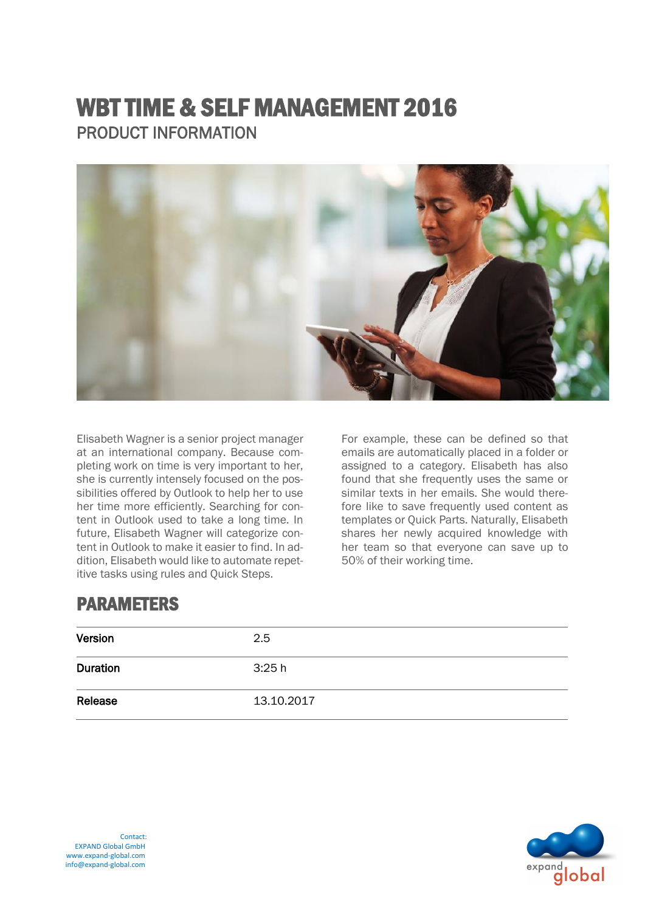# WBT TIME & SELF MANAGEMENT 2016 PRODUCT INFORMATION



Elisabeth Wagner is a senior project manager at an international company. Because completing work on time is very important to her, she is currently intensely focused on the possibilities offered by Outlook to help her to use her time more efficiently. Searching for content in Outlook used to take a long time. In future, Elisabeth Wagner will categorize content in Outlook to make it easier to find. In addition, Elisabeth would like to automate repetitive tasks using rules and Quick Steps.

For example, these can be defined so that emails are automatically placed in a folder or assigned to a category. Elisabeth has also found that she frequently uses the same or similar texts in her emails. She would therefore like to save frequently used content as templates or Quick Parts. Naturally, Elisabeth shares her newly acquired knowledge with her team so that everyone can save up to 50% of their working time.

## PARAMETERS

| Version  | 2.5        |
|----------|------------|
| Duration | 3:25h      |
| Release  | 13.10.2017 |